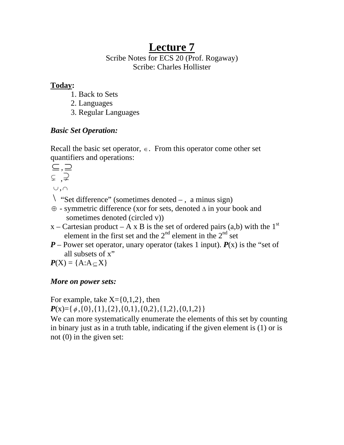# **Lecture 7**

### Scribe Notes for ECS 20 (Prof. Rogaway) Scribe: Charles Hollister

# **Today:**

- 1. Back to Sets
- 2. Languages
- 3. Regular Languages

# *Basic Set Operation:*

Recall the basic set operator,  $\epsilon$ . From this operator come other set quantifiers and operations:

$$
\subseteq \bigcup_{i=1}^{n-1} \mathcal{Q}_i
$$

 $\cup$ ,  $\cap$ 

- $\langle$  "Set difference" (sometimes denoted –, a minus sign)
- ⊕ symmetric difference (xor for sets, denoted Δ in your book and sometimes denoted (circled v))
- x Cartesian product A x B is the set of ordered pairs (a,b) with the  $1<sup>st</sup>$ element in the first set and the  $2<sup>nd</sup>$  element in the  $2<sup>nd</sup>$  set
- $P$  Power set operator, unary operator (takes 1 input).  $P(x)$  is the "set of all subsets of x"

 $P(X) = \{A:A \subset X\}$ 

# *More on power sets:*

For example, take  $X = \{0,1,2\}$ , then  $P(x)=\{\phi, \{0\}, \{1\}, \{2\}, \{0,1\}, \{0,2\}, \{1,2\}, \{0,1,2\}\}\$ 

We can more systematically enumerate the elements of this set by counting in binary just as in a truth table, indicating if the given element is (1) or is not (0) in the given set: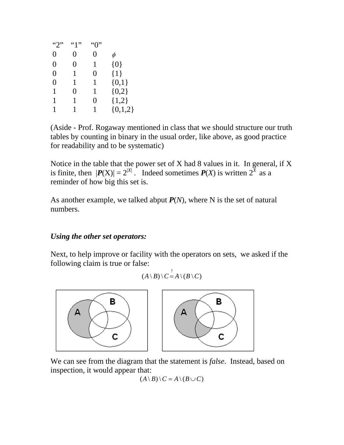| $\lq\lq\lq\lq\lq\lq$ | "1" | ``0" |             |
|----------------------|-----|------|-------------|
| 0                    | 0   | 0    | $\phi$      |
| 0                    | 0   | 1    | ${0}$       |
| $\theta$             | 1   | 0    | ${1}$       |
| 0                    | 1   | 1    | $\{0,1\}$   |
| 1                    | 0   | 1    | ${0,2}$     |
| 1                    | 1   | 0    | ${1,2}$     |
| 1                    |     | 1    | $\{0,1,2\}$ |

(Aside - Prof. Rogaway mentioned in class that we should structure our truth tables by counting in binary in the usual order, like above, as good practice for readability and to be systematic)

Notice in the table that the power set of X had 8 values in it. In general, if X is finite, then  $|P(X)| = 2^{|X|}$ . Indeed sometimes  $P(X)$  is written  $2^{\overline{X}}$  as a reminder of how big this set is.

As another example, we talked abput  $P(N)$ , where N is the set of natural numbers.

#### *Using the other set operators:*

Next, to help improve or facility with the operators on sets, we asked if the following claim is true or false:

$$
(A \setminus B) \setminus C = A \setminus (B \setminus C)
$$



We can see from the diagram that the statement is *false*. Instead, based on inspection, it would appear that:

$$
(A \setminus B) \setminus C = A \setminus (B \cup C)
$$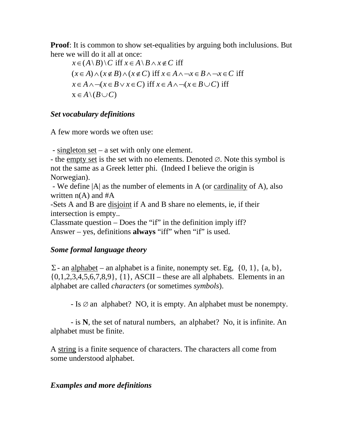**Proof**: It is common to show set-equalities by arguing both inclulusions. But here we will do it all at once:

 $x \in (A \ B) \setminus C$  iff  $x \in A \ B \wedge x \notin C$  iff  $(x \in A) \land (x \notin B) \land (x \notin C)$  iff  $x \in A \land \neg x \in B \land \neg x \in C$  iff  $x \in A \land \neg(x \in B \lor x \in C)$  iff  $x \in A \land \neg(x \in B \cup C)$  iff  $X \in A \setminus (B \cup C)$ 

#### *Set vocabulary definitions*

A few more words we often use:

- singleton set – a set with only one element.

- the empty set is the set with no elements. Denoted  $\varnothing$ . Note this symbol is not the same as a Greek letter phi. (Indeed I believe the origin is Norwegian).

 - We define |A| as the number of elements in A (or cardinality of A), also written  $n(A)$  and  $#A$ 

-Sets A and B are disjoint if A and B share no elements, ie, if their intersection is empty..

Classmate question – Does the "if" in the definition imply iff? Answer – yes, definitions **always** "iff" when "if" is used.

# *Some formal language theory*

 $\Sigma$ - an alphabet – an alphabet is a finite, nonempty set. Eg,  $\{0, 1\}$ ,  $\{a, b\}$ ,  $\{0,1,2,3,4,5,6,7,8,9\}, \{1\}, ASCII - these are all alphabets. Elements in an$ alphabet are called *characters* (or sometimes *symbols*).

 $-Is \oslash an$  alphabet? NO, it is empty. An alphabet must be nonempty.

 - is **N**, the set of natural numbers, an alphabet? No, it is infinite. An alphabet must be finite.

A string is a finite sequence of characters. The characters all come from some understood alphabet.

# *Examples and more definitions*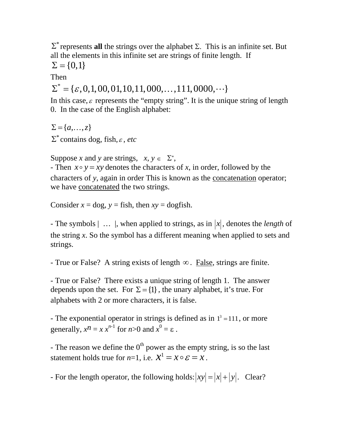$\Sigma^*$  represents **all** the strings over the alphabet  $\Sigma$ . This is an infinite set. But all the elements in this infinite set are strings of finite length. If

 $\Sigma = \{0,1\}$ 

Then

 $\Sigma^* = {\varepsilon, 0, 1, 00, 01, 10, 11, 000, \ldots, 111, 0000, \cdots}$ 

In this case,  $\varepsilon$  represents the "empty string". It is the unique string of length 0. In the case of the English alphabet:

 $\Sigma = \{a, \ldots, z\}$ 

 $\Sigma^*$  contains dog, fish,  $\varepsilon$ , *etc* 

Suppose *x* and *y* are strings,  $x, y \in \Sigma^*$ ,

- Then  $x \circ y = xy$  denotes the characters of *x*, in order, followed by the characters of *y*, again in order This is known as the concatenation operator; we have concatenated the two strings.

Consider  $x = \text{dog}, y = \text{fish}, \text{then } xy = \text{dogfish}.$ 

- The symbols  $| \dots |$ , when applied to strings, as in  $|x|$ , denotes the *length* of the string *x*. So the symbol has a different meaning when applied to sets and strings.

- True or False? A string exists of length  $\infty$ . False, strings are finite.

- True or False? There exists a unique string of length 1. The answer depends upon the set. For  $\Sigma = \{1\}$ , the unary alphabet, it's true. For alphabets with 2 or more characters, it is false.

- The exponential operator in strings is defined as in  $1^3 = 111$ , or more generally,  $x^n = x x^{n-1}$  for  $n > 0$  and  $x^0 = \varepsilon$ .

- The reason we define the  $0^{th}$  power as the empty string, is so the last statement holds true for *n*=1, i.e.  $\mathcal{X}^1 = \mathcal{X} \circ \mathcal{E} = \mathcal{X}$ .

- For the length operator, the following holds:  $|xy| = |x| + |y|$ . Clear?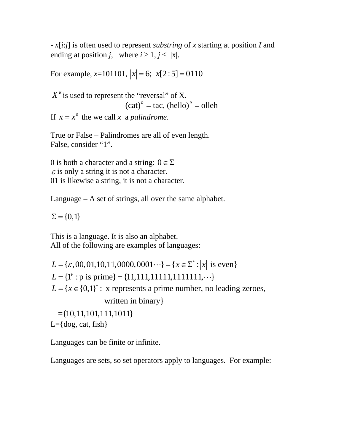- *x*[*i*:*j*] is often used to represent *substring* of *x* starting at position *I* and ending at position *j*, where  $i \ge 1$ ,  $j \le |x|$ .

For example,  $x=101101$ ,  $|x|=6$ ;  $x[2:5]=0110$ 

 $X<sup>R</sup>$  is used to represent the "reversal" of X.  $(cat)^R = \text{tac}, (\text{hello})^R = \text{olleh}$ 

If  $x = x^k$  the we call *x* a *palindrome*.

True or False – Palindromes are all of even length. False, consider "1".

0 is both a character and a string:  $0 \in \Sigma$  $\varepsilon$  is only a string it is not a character. 01 is likewise a string, it is not a character.

Language – A set of strings, all over the same alphabet.

 $\Sigma = \{0,1\}$ 

This is a language. It is also an alphabet. All of the following are examples of languages:

 $L = {\varepsilon, 00, 01, 10, 11, 0000, 0001 \cdots} = {x \in \Sigma^* : |x| \text{ is even}}$  $L = \{1^p : p \text{ is prime}\} = \{11,111,11111,111111, \dots\}$  $L = {x \in {0,1}}^*$ : x represents a prime number, no leading zeroes, written in binary}  $=\{10,11,101,111,1011\}$ 

 $L = \{dog, cat, fish\}$ 

Languages can be finite or infinite.

Languages are sets, so set operators apply to languages. For example: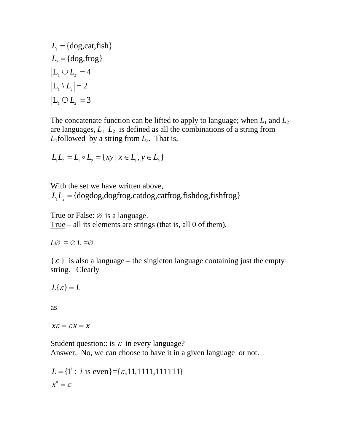$$
L_1 = \{ \text{dog, cat,fish} \}
$$
  
\n
$$
L_2 = \{ \text{dog,frog} \}
$$
  
\n
$$
|L_1 \cup L_2| = 4
$$
  
\n
$$
|L_1 \setminus L_2| = 2
$$
  
\n
$$
|L_1 \oplus L_2| = 3
$$

The concatenate function can be lifted to apply to language; when  $L_1$  and  $L_2$ are languages,  $L_1$ ,  $L_2$  is defined as all the combinations of a string from  $L_1$ followed by a string from  $L_2$ . That is,

$$
L_1L_2 = L_1 \circ L_2 = \{ xy \mid x \in L_1, y \in L_2 \}
$$

With the set we have written above,  $L_1 L_2 = \{ \text{dogdog}, \text{dogfrog}, \text{catalog}, \text{caffrog}, \text{fishdog}, \text{fishfrog} \}$ 

True or False:  $\emptyset$  is a language.

True – all its elements are strings (that is, all 0 of them).

 $L\varnothing = \varnothing L = \varnothing$ 

 $\{\varepsilon\}$  is also a language – the singleton language containing just the empty string. Clearly

 $L{ \varepsilon } = L$ 

as

 $x \varepsilon = \varepsilon x = x$ 

Student question: is  $\varepsilon$  in every language? Answer, No, we can choose to have it in a given language or not.

 $x^0 = \varepsilon$  $L = \{1^i : i \text{ is even}\} = \{\varepsilon, 11, 1111, 111111\}$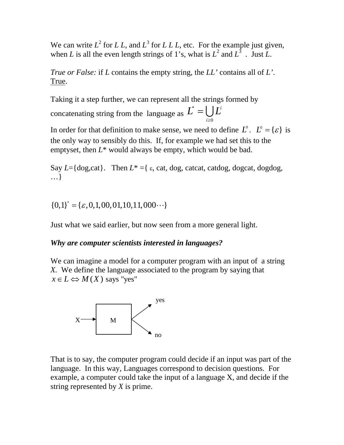We can write  $L^2$  for *L L*, and  $L^3$  for *L L L*, etc. For the example just given, when *L* is all the even length strings of 1's, what is  $L^2$  and  $L^3$ . Just *L*.

*True or False:* if *L* contains the empty string, the *LL'* contains all of *L'*. True.

Taking it a step further, we can represent all the strings formed by

concatenating string from the language as  $L^*$ 0 *i i*  $L^* = \bigcup L^i$  $=\bigcup_{i\geq 0}$ 

In order for that definition to make sense, we need to define  $L^0$ .  $L^0 = {\varepsilon}$  is the only way to sensibly do this. If, for example we had set this to the emptyset, then *L*\* would always be empty, which would be bad.

Say  $L = \{\text{dog,cat}\}\$ . Then  $L^* = \{\varepsilon, \text{cat, dog, cated, catdog, dogcat, dogdog}\}\$ . …}

 ${0,1}^* = {\varepsilon, 0,1,00,01,10,11,000 \cdots }$ 

Just what we said earlier, but now seen from a more general light.

# *Why are computer scientists interested in languages?*

We can imagine a model for a computer program with an input of a string *X.* We define the language associated to the program by saying that  $x \in L \Leftrightarrow M(X)$  says "yes"



That is to say, the computer program could decide if an input was part of the language. In this way, Languages correspond to decision questions. For example, a computer could take the input of a language X, and decide if the string represented by *X* is prime.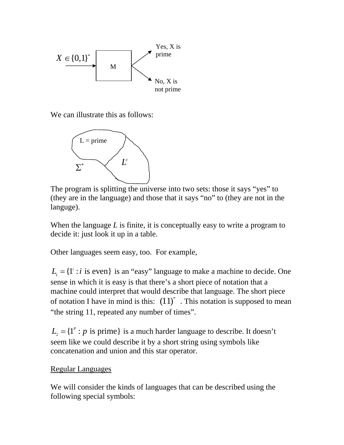

We can illustrate this as follows:



The program is splitting the universe into two sets: those it says "yes" to (they are in the language) and those that it says "no" to (they are not in the languge).

When the language *L* is finite, it is conceptually easy to write a program to decide it: just look it up in a table.

Other languages seem easy, too. For example,

 $L_1 = \{1^i : i \text{ is even}\}\$ is an "easy" language to make a machine to decide. One sense in which it is easy is that there's a short piece of notation that a machine could interpret that would describe that language. The short piece of notation I have in mind is this:  $(11)^*$ . This notation is supposed to mean "the string 11, repeated any number of times".

 $L_2 = \{1^p : p \text{ is prime}\}\$ is a much harder language to describe. It doesn't seem like we could describe it by a short string using symbols like concatenation and union and this star operator.

# Regular Languages

We will consider the kinds of languages that can be described using the following special symbols: